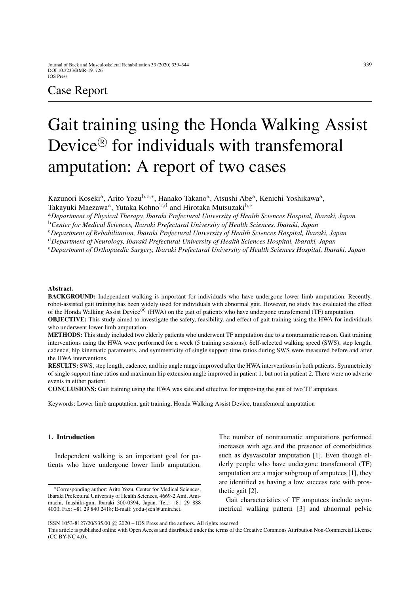# Case Report

# Gait training using the Honda Walking Assist Device<sup>®</sup> for individuals with transfemoral amputation: A report of two cases

Kazunori Koseki<sup>a</sup>, Arito Yozu<sup>b,c,∗</sup>, Hanako Takano<sup>a</sup>, Atsushi Abe<sup>a</sup>, Kenichi Yoshikawa<sup>a</sup>,

Takayuki Maezawa<sup>a</sup>, Yutaka Kohno<sup>b,d</sup> and Hirotaka Mutsuzaki<sup>b,e</sup>

<sup>a</sup>*Department of Physical Therapy, Ibaraki Prefectural University of Health Sciences Hospital, Ibaraki, Japan*

<sup>b</sup>*Center for Medical Sciences, Ibaraki Prefectural University of Health Sciences, Ibaraki, Japan*

<sup>c</sup>*Department of Rehabilitation, Ibaraki Prefectural University of Health Sciences Hospital, Ibaraki, Japan*

<sup>d</sup>*Department of Neurology, Ibaraki Prefectural University of Health Sciences Hospital, Ibaraki, Japan*

<sup>e</sup>*Department of Orthopaedic Surgery, Ibaraki Prefectural University of Health Sciences Hospital, Ibaraki, Japan*

#### Abstract.

BACKGROUND: Independent walking is important for individuals who have undergone lower limb amputation. Recently, robot-assisted gait training has been widely used for individuals with abnormal gait. However, no study has evaluated the effect of the Honda Walking Assist Device<sup>®</sup> (HWA) on the gait of patients who have undergone transfemoral (TF) amputation.

OBJECTIVE: This study aimed to investigate the safety, feasibility, and effect of gait training using the HWA for individuals who underwent lower limb amputation.

METHODS: This study included two elderly patients who underwent TF amputation due to a nontraumatic reason. Gait training interventions using the HWA were performed for a week (5 training sessions). Self-selected walking speed (SWS), step length, cadence, hip kinematic parameters, and symmetricity of single support time ratios during SWS were measured before and after the HWA interventions.

RESULTS: SWS, step length, cadence, and hip angle range improved after the HWA interventions in both patients. Symmetricity of single support time ratios and maximum hip extension angle improved in patient 1, but not in patient 2. There were no adverse events in either patient.

CONCLUSIONS: Gait training using the HWA was safe and effective for improving the gait of two TF amputees.

Keywords: Lower limb amputation, gait training, Honda Walking Assist Device, transfemoral amputation

# 1. Introduction

Independent walking is an important goal for patients who have undergone lower limb amputation. The number of nontraumatic amputations performed increases with age and the presence of comorbidities such as dysvascular amputation [\[1\]](#page-5-0). Even though elderly people who have undergone transfemoral (TF) amputation are a major subgroup of amputees [\[1\]](#page-5-0), they are identified as having a low success rate with prosthetic gait [\[2\]](#page-5-1).

Gait characteristics of TF amputees include asymmetrical walking pattern [\[3\]](#page-5-2) and abnormal pelvic

This article is published online with Open Access and distributed under the terms of the Creative Commons Attribution Non-Commercial License (CC BY-NC 4.0).

<sup>∗</sup>Corresponding author: Arito Yozu, Center for Medical Sciences, Ibaraki Prefectural University of Health Sciences, 4669-2 Ami, Amimachi, Inashiki-gun, Ibaraki 300-0394, Japan. Tel.: +81 29 888 4000; Fax: +81 29 840 2418; E-mail: yodu-jscn@umin.net.

ISSN 1053-8127/20/\$35.00 © 2020 - IOS Press and the authors. All rights reserved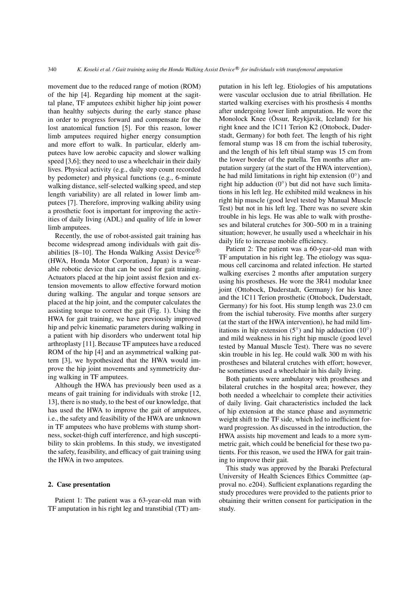movement due to the reduced range of motion (ROM) of the hip [\[4\]](#page-5-3). Regarding hip moment at the sagittal plane, TF amputees exhibit higher hip joint power than healthy subjects during the early stance phase in order to progress forward and compensate for the lost anatomical function [\[5\]](#page-5-4). For this reason, lower limb amputees required higher energy consumption and more effort to walk. In particular, elderly amputees have low aerobic capacity and slower walking speed [\[3,](#page-5-2)[6\]](#page-5-5); they need to use a wheelchair in their daily lives. Physical activity (e.g., daily step count recorded by pedometer) and physical functions (e.g., 6-minute walking distance, self-selected walking speed, and step length variability) are all related in lower limb amputees [\[7\]](#page-5-6). Therefore, improving walking ability using a prosthetic foot is important for improving the activities of daily living (ADL) and quality of life in lower limb amputees.

Recently, the use of robot-assisted gait training has become widespread among individuals with gait dis-abilities [\[8](#page-5-7)[–10\]](#page-5-8). The Honda Walking Assist Device<sup>®</sup> (HWA, Honda Motor Corporation, Japan) is a wearable robotic device that can be used for gait training. Actuators placed at the hip joint assist flexion and extension movements to allow effective forward motion during walking. The angular and torque sensors are placed at the hip joint, and the computer calculates the assisting torque to correct the gait (Fig. [1\)](#page-2-0). Using the HWA for gait training, we have previously improved hip and pelvic kinematic parameters during walking in a patient with hip disorders who underwent total hip arthroplasty [\[11\]](#page-5-9). Because TF amputees have a reduced ROM of the hip [\[4\]](#page-5-3) and an asymmetrical walking pattern [\[3\]](#page-5-2), we hypothesized that the HWA would improve the hip joint movements and symmetricity during walking in TF amputees.

Although the HWA has previously been used as a means of gait training for individuals with stroke [\[12,](#page-5-10) [13\]](#page-5-11), there is no study, to the best of our knowledge, that has used the HWA to improve the gait of amputees, i.e., the safety and feasibility of the HWA are unknown in TF amputees who have problems with stump shortness, socket-thigh cuff interference, and high susceptibility to skin problems. In this study, we investigated the safety, feasibility, and efficacy of gait training using the HWA in two amputees.

## 2. Case presentation

Patient 1: The patient was a 63-year-old man with TF amputation in his right leg and transtibial (TT) amputation in his left leg. Etiologies of his amputations were vascular occlusion due to atrial fibrillation. He started walking exercises with his prosthesis 4 months after undergoing lower limb amputation. He wore the Monolock Knee (Össur, Reykjavik, Iceland) for his right knee and the 1C11 Terion K2 (Ottobock, Duderstadt, Germany) for both feet. The length of his right femoral stump was 18 cm from the ischial tuberosity, and the length of his left tibial stamp was 15 cm from the lower border of the patella. Ten months after amputation surgery (at the start of the HWA intervention), he had mild limitations in right hip extension  $(0^{\circ})$  and right hip adduction  $(0^{\circ})$  but did not have such limitations in his left leg. He exhibited mild weakness in his right hip muscle (good level tested by Manual Muscle Test) but not in his left leg. There was no severe skin trouble in his legs. He was able to walk with prostheses and bilateral crutches for 300–500 m in a training situation; however, he usually used a wheelchair in his daily life to increase mobile efficiency.

Patient 2: The patient was a 60-year-old man with TF amputation in his right leg. The etiology was squamous cell carcinoma and related infection. He started walking exercises 2 months after amputation surgery using his prostheses. He wore the 3R41 modular knee joint (Ottobock, Duderstadt, Germany) for his knee and the 1C11 Terion prosthetic (Ottobock, Duderstadt, Germany) for his foot. His stump length was 23.0 cm from the ischial tuberosity. Five months after surgery (at the start of the HWA intervention), he had mild limitations in hip extension  $(5^{\circ})$  and hip adduction  $(10^{\circ})$ and mild weakness in his right hip muscle (good level tested by Manual Muscle Test). There was no severe skin trouble in his leg. He could walk 300 m with his prostheses and bilateral crutches with effort; however, he sometimes used a wheelchair in his daily living.

Both patients were ambulatory with prostheses and bilateral crutches in the hospital area; however, they both needed a wheelchair to complete their activities of daily living. Gait characteristics included the lack of hip extension at the stance phase and asymmetric weight shift to the TF side, which led to inefficient forward progression. As discussed in the introduction, the HWA assists hip movement and leads to a more symmetric gait, which could be beneficial for these two patients. For this reason, we used the HWA for gait training to improve their gait.

This study was approved by the Ibaraki Prefectural University of Health Sciences Ethics Committee (approval no. e204). Sufficient explanations regarding the study procedures were provided to the patients prior to obtaining their written consent for participation in the study.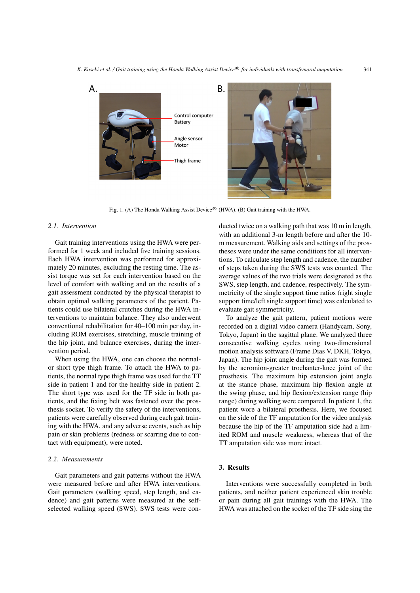

<span id="page-2-0"></span>Fig. 1. (A) The Honda Walking Assist Device® (HWA). (B) Gait training with the HWA.

# *2.1. Intervention*

Gait training interventions using the HWA were performed for 1 week and included five training sessions. Each HWA intervention was performed for approximately 20 minutes, excluding the resting time. The assist torque was set for each intervention based on the level of comfort with walking and on the results of a gait assessment conducted by the physical therapist to obtain optimal walking parameters of the patient. Patients could use bilateral crutches during the HWA interventions to maintain balance. They also underwent conventional rehabilitation for 40–100 min per day, including ROM exercises, stretching, muscle training of the hip joint, and balance exercises, during the intervention period.

When using the HWA, one can choose the normalor short type thigh frame. To attach the HWA to patients, the normal type thigh frame was used for the TT side in patient 1 and for the healthy side in patient 2. The short type was used for the TF side in both patients, and the fixing belt was fastened over the prosthesis socket. To verify the safety of the interventions, patients were carefully observed during each gait training with the HWA, and any adverse events, such as hip pain or skin problems (redness or scarring due to contact with equipment), were noted.

# *2.2. Measurements*

Gait parameters and gait patterns without the HWA were measured before and after HWA interventions. Gait parameters (walking speed, step length, and cadence) and gait patterns were measured at the selfselected walking speed (SWS). SWS tests were conducted twice on a walking path that was 10 m in length, with an additional 3-m length before and after the 10 m measurement. Walking aids and settings of the prostheses were under the same conditions for all interventions. To calculate step length and cadence, the number of steps taken during the SWS tests was counted. The average values of the two trials were designated as the SWS, step length, and cadence, respectively. The symmetricity of the single support time ratios (right single support time/left single support time) was calculated to evaluate gait symmetricity.

To analyze the gait pattern, patient motions were recorded on a digital video camera (Handycam, Sony, Tokyo, Japan) in the sagittal plane. We analyzed three consecutive walking cycles using two-dimensional motion analysis software (Frame Dias V, DKH, Tokyo, Japan). The hip joint angle during the gait was formed by the acromion-greater trochanter-knee joint of the prosthesis. The maximum hip extension joint angle at the stance phase, maximum hip flexion angle at the swing phase, and hip flexion/extension range (hip range) during walking were compared. In patient 1, the patient wore a bilateral prosthesis. Here, we focused on the side of the TF amputation for the video analysis because the hip of the TF amputation side had a limited ROM and muscle weakness, whereas that of the TT amputation side was more intact.

# 3. Results

Interventions were successfully completed in both patients, and neither patient experienced skin trouble or pain during all gait trainings with the HWA. The HWA was attached on the socket of the TF side sing the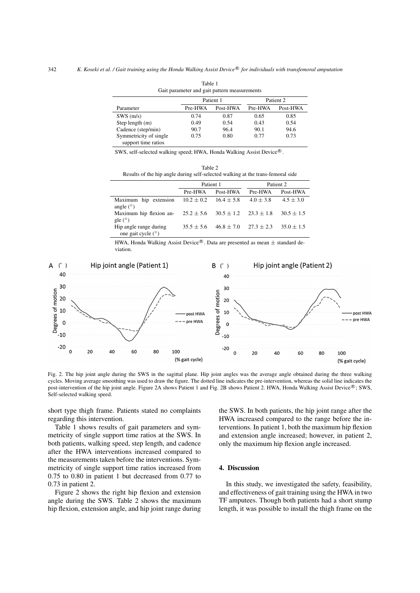<span id="page-3-1"></span>

| Gait parameter and gait pattern measurements |         |           |         |           |  |  |  |
|----------------------------------------------|---------|-----------|---------|-----------|--|--|--|
|                                              |         | Patient 1 |         | Patient 2 |  |  |  |
| Parameter                                    | Pre-HWA | Post-HWA  | Pre-HWA | Post-HWA  |  |  |  |
| SWS(m/s)                                     | 0.74    | 0.87      | 0.65    | 0.85      |  |  |  |
| Step length (m)                              | 0.49    | 0.54      | 0.43    | 0.54      |  |  |  |
| Cadence (step/min)                           | 90.7    | 96.4      | 90.1    | 94.6      |  |  |  |
| Symmetricity of single                       | 0.75    | 0.80      | 0.77    | 0.73      |  |  |  |
| support time ratios                          |         |           |         |           |  |  |  |

Table 1

SWS, self-selected walking speed; HWA, Honda Walking Assist Device®.

| Table 2                                                                         |  |
|---------------------------------------------------------------------------------|--|
| Results of the hip angle during self-selected walking at the trans-femoral side |  |

<span id="page-3-2"></span>

|                                                | Patient 1      |                | Patient 2    |                |
|------------------------------------------------|----------------|----------------|--------------|----------------|
|                                                | Pre-HWA        | Post-HWA       | Pre-HWA      | Post-HWA       |
| Maximum hip extension<br>angle $(°)$           | $10.2 \pm 0.2$ | $16.4 \pm 5.8$ | $4.0 + 3.8$  | $4.5 + 3.0$    |
| Maximum hip flexion an-<br>gle $(°)$           | $25.2 \pm 5.6$ | $30.5 \pm 1.2$ | $23.3 + 1.8$ | $30.5 \pm 1.5$ |
| Hip angle range during<br>one gait cycle $(°)$ | $35.5 + 5.6$   | $46.8 \pm 7.0$ | $27.3 + 2.3$ | $35.0 + 1.5$   |

HWA, Honda Walking Assist Device<sup>®</sup>. Data are presented as mean  $\pm$  standard deviation.



<span id="page-3-0"></span>Fig. 2. The hip joint angle during the SWS in the sagittal plane. Hip joint angles was the average angle obtained during the three walking cycles. Moving average smoothing was used to draw the figure. The dotted line indicates the pre-intervention, whereas the solid line indicates the post-intervention of the hip joint angle. Figure [2A](#page-3-0) shows Patient 1 and Fig. [2B](#page-3-0) shows Patient 2. HWA, Honda Walking Assist Device®; SWS, Self-selected walking speed.

short type thigh frame. Patients stated no complaints regarding this intervention.

Table [1](#page-3-1) shows results of gait parameters and symmetricity of single support time ratios at the SWS. In both patients, walking speed, step length, and cadence after the HWA interventions increased compared to the measurements taken before the interventions. Symmetricity of single support time ratios increased from 0.75 to 0.80 in patient 1 but decreased from 0.77 to 0.73 in patient 2.

Figure [2](#page-3-0) shows the right hip flexion and extension angle during the SWS. Table [2](#page-3-2) shows the maximum hip flexion, extension angle, and hip joint range during the SWS. In both patients, the hip joint range after the HWA increased compared to the range before the interventions. In patient 1, both the maximum hip flexion and extension angle increased; however, in patient 2, only the maximum hip flexion angle increased.

#### 4. Discussion

In this study, we investigated the safety, feasibility, and effectiveness of gait training using the HWA in two TF amputees. Though both patients had a short stump length, it was possible to install the thigh frame on the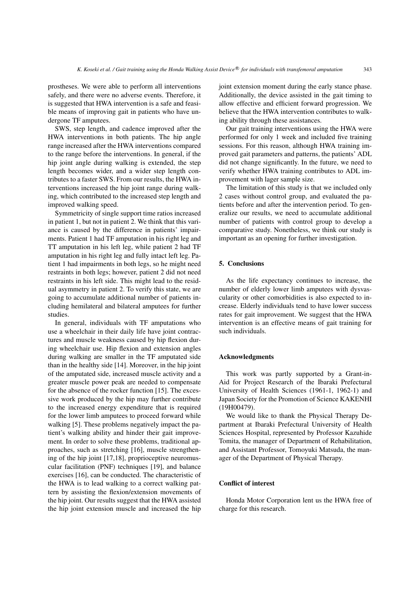prostheses. We were able to perform all interventions safely, and there were no adverse events. Therefore, it is suggested that HWA intervention is a safe and feasible means of improving gait in patients who have undergone TF amputees.

SWS, step length, and cadence improved after the HWA interventions in both patients. The hip angle range increased after the HWA interventions compared to the range before the interventions. In general, if the hip joint angle during walking is extended, the step length becomes wider, and a wider step length contributes to a faster SWS. From our results, the HWA interventions increased the hip joint range during walking, which contributed to the increased step length and improved walking speed.

Symmetricity of single support time ratios increased in patient 1, but not in patient 2. We think that this variance is caused by the difference in patients' impairments. Patient 1 had TF amputation in his right leg and TT amputation in his left leg, while patient 2 had TF amputation in his right leg and fully intact left leg. Patient 1 had impairments in both legs, so he might need restraints in both legs; however, patient 2 did not need restraints in his left side. This might lead to the residual asymmetry in patient 2. To verify this state, we are going to accumulate additional number of patients including hemilateral and bilateral amputees for further studies.

In general, individuals with TF amputations who use a wheelchair in their daily life have joint contractures and muscle weakness caused by hip flexion during wheelchair use. Hip flexion and extension angles during walking are smaller in the TF amputated side than in the healthy side [\[14\]](#page-5-12). Moreover, in the hip joint of the amputated side, increased muscle activity and a greater muscle power peak are needed to compensate for the absence of the rocker function [\[15\]](#page-5-13). The excessive work produced by the hip may further contribute to the increased energy expenditure that is required for the lower limb amputees to proceed forward while walking [\[5\]](#page-5-4). These problems negatively impact the patient's walking ability and hinder their gait improvement. In order to solve these problems, traditional approaches, such as stretching [\[16\]](#page-5-14), muscle strengthening of the hip joint [\[17](#page-5-15)[,18\]](#page-5-16), proprioceptive neuromuscular facilitation (PNF) techniques [\[19\]](#page-5-17), and balance exercises [\[16\]](#page-5-14), can be conducted. The characteristic of the HWA is to lead walking to a correct walking pattern by assisting the flexion/extension movements of the hip joint. Our results suggest that the HWA assisted the hip joint extension muscle and increased the hip joint extension moment during the early stance phase. Additionally, the device assisted in the gait timing to allow effective and efficient forward progression. We believe that the HWA intervention contributes to walking ability through these assistances.

Our gait training interventions using the HWA were performed for only 1 week and included five training sessions. For this reason, although HWA training improved gait parameters and patterns, the patients' ADL did not change significantly. In the future, we need to verify whether HWA training contributes to ADL improvement with lager sample size.

The limitation of this study is that we included only 2 cases without control group, and evaluated the patients before and after the intervention period. To generalize our results, we need to accumulate additional number of patients with control group to develop a comparative study. Nonetheless, we think our study is important as an opening for further investigation.

# 5. Conclusions

As the life expectancy continues to increase, the number of elderly lower limb amputees with dysvascularity or other comorbidities is also expected to increase. Elderly individuals tend to have lower success rates for gait improvement. We suggest that the HWA intervention is an effective means of gait training for such individuals.

# Acknowledgments

This work was partly supported by a Grant-in-Aid for Project Research of the Ibaraki Prefectural University of Health Sciences (1961-1, 1962-1) and Japan Society for the Promotion of Science KAKENHI (19H00479).

We would like to thank the Physical Therapy Department at Ibaraki Prefectural University of Health Sciences Hospital, represented by Professor Kazuhide Tomita, the manager of Department of Rehabilitation, and Assistant Professor, Tomoyuki Matsuda, the manager of the Department of Physical Therapy.

#### Conflict of interest

Honda Motor Corporation lent us the HWA free of charge for this research.